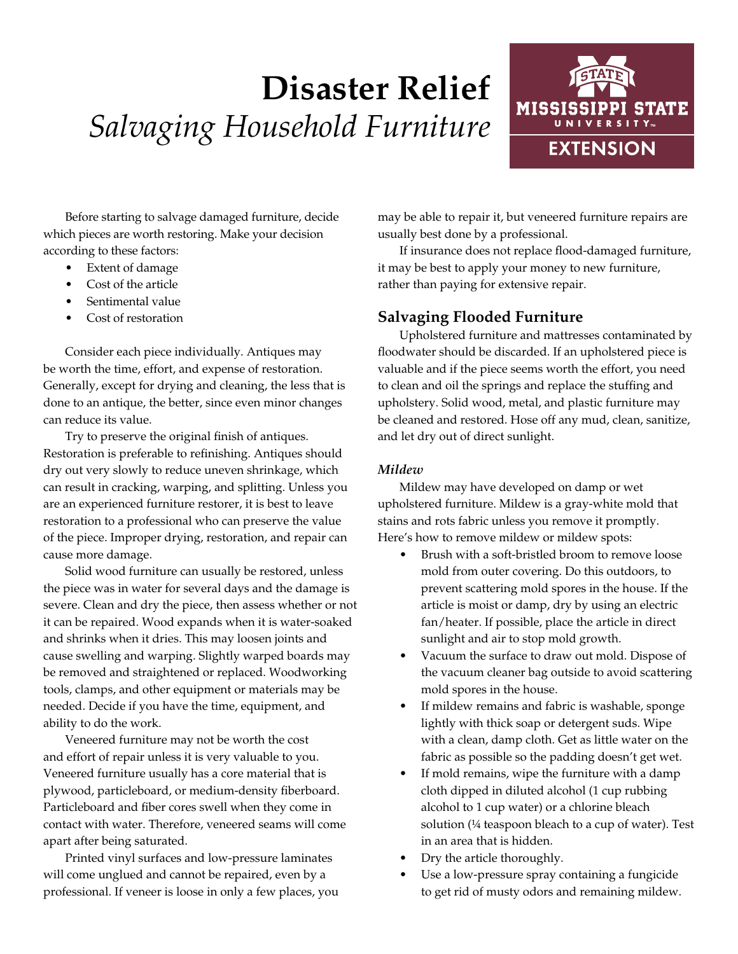# **Disaster Relief** *Salvaging Household Furniture*



Before starting to salvage damaged furniture, decide which pieces are worth restoring. Make your decision according to these factors:

- Extent of damage
- Cost of the article
- Sentimental value
- Cost of restoration

Consider each piece individually. Antiques may be worth the time, effort, and expense of restoration. Generally, except for drying and cleaning, the less that is done to an antique, the better, since even minor changes can reduce its value.

Try to preserve the original finish of antiques. Restoration is preferable to refinishing. Antiques should dry out very slowly to reduce uneven shrinkage, which can result in cracking, warping, and splitting. Unless you are an experienced furniture restorer, it is best to leave restoration to a professional who can preserve the value of the piece. Improper drying, restoration, and repair can cause more damage.

Solid wood furniture can usually be restored, unless the piece was in water for several days and the damage is severe. Clean and dry the piece, then assess whether or not it can be repaired. Wood expands when it is water-soaked and shrinks when it dries. This may loosen joints and cause swelling and warping. Slightly warped boards may be removed and straightened or replaced. Woodworking tools, clamps, and other equipment or materials may be needed. Decide if you have the time, equipment, and ability to do the work.

Veneered furniture may not be worth the cost and effort of repair unless it is very valuable to you. Veneered furniture usually has a core material that is plywood, particleboard, or medium-density fiberboard. Particleboard and fiber cores swell when they come in contact with water. Therefore, veneered seams will come apart after being saturated.

Printed vinyl surfaces and low-pressure laminates will come unglued and cannot be repaired, even by a professional. If veneer is loose in only a few places, you may be able to repair it, but veneered furniture repairs are usually best done by a professional.

If insurance does not replace flood-damaged furniture, it may be best to apply your money to new furniture, rather than paying for extensive repair.

# **Salvaging Flooded Furniture**

Upholstered furniture and mattresses contaminated by floodwater should be discarded. If an upholstered piece is valuable and if the piece seems worth the effort, you need to clean and oil the springs and replace the stuffing and upholstery. Solid wood, metal, and plastic furniture may be cleaned and restored. Hose off any mud, clean, sanitize, and let dry out of direct sunlight.

#### *Mildew*

Mildew may have developed on damp or wet upholstered furniture. Mildew is a gray-white mold that stains and rots fabric unless you remove it promptly. Here's how to remove mildew or mildew spots:

- Brush with a soft-bristled broom to remove loose mold from outer covering. Do this outdoors, to prevent scattering mold spores in the house. If the article is moist or damp, dry by using an electric fan/heater. If possible, place the article in direct sunlight and air to stop mold growth.
- Vacuum the surface to draw out mold. Dispose of the vacuum cleaner bag outside to avoid scattering mold spores in the house.
- If mildew remains and fabric is washable, sponge lightly with thick soap or detergent suds. Wipe with a clean, damp cloth. Get as little water on the fabric as possible so the padding doesn't get wet.
- If mold remains, wipe the furniture with a damp cloth dipped in diluted alcohol (1 cup rubbing alcohol to 1 cup water) or a chlorine bleach solution  $(1/4)$  teaspoon bleach to a cup of water). Test in an area that is hidden.
- Dry the article thoroughly.
- Use a low-pressure spray containing a fungicide to get rid of musty odors and remaining mildew.